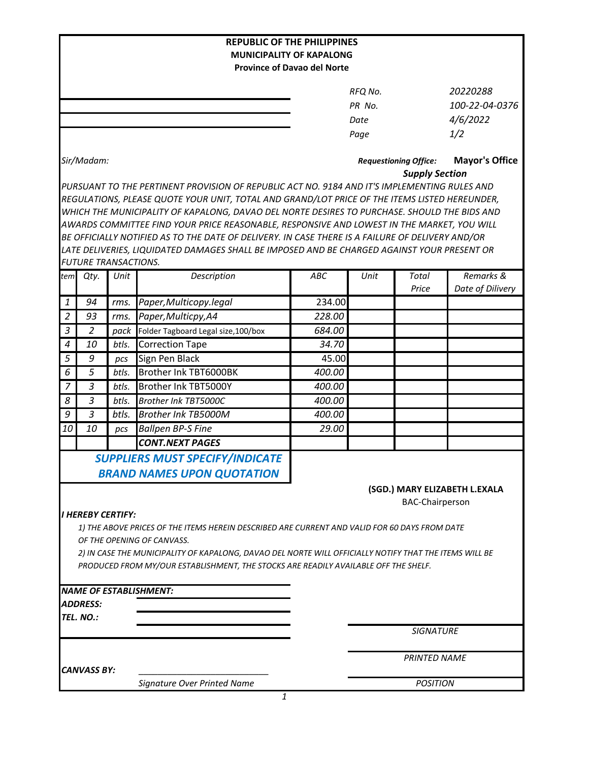| <b>REPUBLIC OF THE PHILIPPINES</b>                                                                                                   |                                                                                              |       |                                                                                                  |            |                 |                              |                               |  |  |  |  |  |
|--------------------------------------------------------------------------------------------------------------------------------------|----------------------------------------------------------------------------------------------|-------|--------------------------------------------------------------------------------------------------|------------|-----------------|------------------------------|-------------------------------|--|--|--|--|--|
| <b>MUNICIPALITY OF KAPALONG</b><br><b>Province of Davao del Norte</b>                                                                |                                                                                              |       |                                                                                                  |            |                 |                              |                               |  |  |  |  |  |
|                                                                                                                                      |                                                                                              |       |                                                                                                  |            |                 |                              |                               |  |  |  |  |  |
|                                                                                                                                      |                                                                                              |       |                                                                                                  |            | RFQ No.         |                              | 20220288                      |  |  |  |  |  |
|                                                                                                                                      |                                                                                              |       |                                                                                                  |            | PR No.          |                              |                               |  |  |  |  |  |
|                                                                                                                                      |                                                                                              |       |                                                                                                  |            | Date            |                              | 4/6/2022                      |  |  |  |  |  |
|                                                                                                                                      |                                                                                              |       |                                                                                                  |            | Page            |                              | 1/2                           |  |  |  |  |  |
|                                                                                                                                      | Sir/Madam:                                                                                   |       |                                                                                                  |            |                 | <b>Requestioning Office:</b> | <b>Mayor's Office</b>         |  |  |  |  |  |
|                                                                                                                                      |                                                                                              |       |                                                                                                  |            |                 | <b>Supply Section</b>        |                               |  |  |  |  |  |
|                                                                                                                                      | PURSUANT TO THE PERTINENT PROVISION OF REPUBLIC ACT NO. 9184 AND IT'S IMPLEMENTING RULES AND |       |                                                                                                  |            |                 |                              |                               |  |  |  |  |  |
| REGULATIONS, PLEASE QUOTE YOUR UNIT, TOTAL AND GRAND/LOT PRICE OF THE ITEMS LISTED HEREUNDER,                                        |                                                                                              |       |                                                                                                  |            |                 |                              |                               |  |  |  |  |  |
| WHICH THE MUNICIPALITY OF KAPALONG, DAVAO DEL NORTE DESIRES TO PURCHASE. SHOULD THE BIDS AND                                         |                                                                                              |       |                                                                                                  |            |                 |                              |                               |  |  |  |  |  |
|                                                                                                                                      |                                                                                              |       | AWARDS COMMITTEE FIND YOUR PRICE REASONABLE, RESPONSIVE AND LOWEST IN THE MARKET, YOU WILL       |            |                 |                              |                               |  |  |  |  |  |
|                                                                                                                                      |                                                                                              |       | BE OFFICIALLY NOTIFIED AS TO THE DATE OF DELIVERY. IN CASE THERE IS A FAILURE OF DELIVERY AND/OR |            |                 |                              |                               |  |  |  |  |  |
|                                                                                                                                      | FUTURE TRANSACTIONS.                                                                         |       | LATE DELIVERIES, LIQUIDATED DAMAGES SHALL BE IMPOSED AND BE CHARGED AGAINST YOUR PRESENT OR      |            |                 |                              |                               |  |  |  |  |  |
| tem                                                                                                                                  | Qty.                                                                                         | Unit  | Description                                                                                      | <b>ABC</b> | Unit            | Total                        | Remarks &                     |  |  |  |  |  |
|                                                                                                                                      |                                                                                              |       |                                                                                                  |            |                 | Price                        | Date of Dilivery              |  |  |  |  |  |
| $\mathbf{1}$                                                                                                                         | 94                                                                                           | rms.  | Paper, Multicopy.legal                                                                           | 234.00     |                 |                              |                               |  |  |  |  |  |
| $\overline{2}$                                                                                                                       | 93                                                                                           | rms.  | Paper, Multicpy, A4                                                                              | 228.00     |                 |                              |                               |  |  |  |  |  |
| $\overline{3}$                                                                                                                       | 2                                                                                            | pack  | Folder Tagboard Legal size, 100/box                                                              | 684.00     |                 |                              |                               |  |  |  |  |  |
| $\boldsymbol{4}$                                                                                                                     | 10                                                                                           | btls. | <b>Correction Tape</b>                                                                           | 34.70      |                 |                              |                               |  |  |  |  |  |
| 5                                                                                                                                    | 9                                                                                            | pcs   | Sign Pen Black                                                                                   | 45.00      |                 |                              |                               |  |  |  |  |  |
| 6                                                                                                                                    | 5                                                                                            | btls. | Brother Ink TBT6000BK                                                                            | 400.00     |                 |                              |                               |  |  |  |  |  |
| 7                                                                                                                                    | 3                                                                                            | btls. | Brother Ink TBT5000Y                                                                             | 400.00     |                 |                              |                               |  |  |  |  |  |
| 8                                                                                                                                    | 3                                                                                            | btls. | Brother Ink TBT5000C                                                                             | 400.00     |                 |                              |                               |  |  |  |  |  |
| 9                                                                                                                                    | 3                                                                                            | btls. | <b>Brother Ink TB5000M</b>                                                                       | 400.00     |                 |                              |                               |  |  |  |  |  |
| 10                                                                                                                                   | 10                                                                                           | pcs   | <b>Ballpen BP-S Fine</b>                                                                         | 29.00      |                 |                              |                               |  |  |  |  |  |
|                                                                                                                                      |                                                                                              |       | <b>CONT.NEXT PAGES</b>                                                                           |            |                 |                              |                               |  |  |  |  |  |
|                                                                                                                                      |                                                                                              |       | SUPPLIERS MUST SPECIFY/INDICATE                                                                  |            |                 |                              |                               |  |  |  |  |  |
|                                                                                                                                      |                                                                                              |       | <b>BRAND NAMES UPON QUOTATION</b>                                                                |            |                 |                              |                               |  |  |  |  |  |
|                                                                                                                                      |                                                                                              |       |                                                                                                  |            |                 |                              | (SGD.) MARY ELIZABETH L.EXALA |  |  |  |  |  |
|                                                                                                                                      |                                                                                              |       |                                                                                                  |            |                 | <b>BAC-Chairperson</b>       |                               |  |  |  |  |  |
|                                                                                                                                      | I HEREBY CERTIFY:                                                                            |       |                                                                                                  |            |                 |                              |                               |  |  |  |  |  |
|                                                                                                                                      |                                                                                              |       | 1) THE ABOVE PRICES OF THE ITEMS HEREIN DESCRIBED ARE CURRENT AND VALID FOR 60 DAYS FROM DATE    |            |                 |                              |                               |  |  |  |  |  |
| OF THE OPENING OF CANVASS.<br>2) IN CASE THE MUNICIPALITY OF KAPALONG, DAVAO DEL NORTE WILL OFFICIALLY NOTIFY THAT THE ITEMS WILL BE |                                                                                              |       |                                                                                                  |            |                 |                              |                               |  |  |  |  |  |
| PRODUCED FROM MY/OUR ESTABLISHMENT, THE STOCKS ARE READILY AVAILABLE OFF THE SHELF.                                                  |                                                                                              |       |                                                                                                  |            |                 |                              |                               |  |  |  |  |  |
|                                                                                                                                      |                                                                                              |       |                                                                                                  |            |                 |                              |                               |  |  |  |  |  |
|                                                                                                                                      |                                                                                              |       | <b>NAME OF ESTABLISHMENT:</b>                                                                    |            |                 |                              |                               |  |  |  |  |  |
|                                                                                                                                      | <b>ADDRESS:</b>                                                                              |       |                                                                                                  |            |                 |                              |                               |  |  |  |  |  |
|                                                                                                                                      | TEL. NO.:                                                                                    |       |                                                                                                  |            |                 |                              |                               |  |  |  |  |  |
|                                                                                                                                      |                                                                                              |       |                                                                                                  |            |                 | <b>SIGNATURE</b>             |                               |  |  |  |  |  |
|                                                                                                                                      |                                                                                              |       |                                                                                                  |            |                 | <b>PRINTED NAME</b>          |                               |  |  |  |  |  |
|                                                                                                                                      | <b>CANVASS BY:</b>                                                                           |       |                                                                                                  |            |                 |                              |                               |  |  |  |  |  |
|                                                                                                                                      |                                                                                              |       | Signature Over Printed Name                                                                      |            | <b>POSITION</b> |                              |                               |  |  |  |  |  |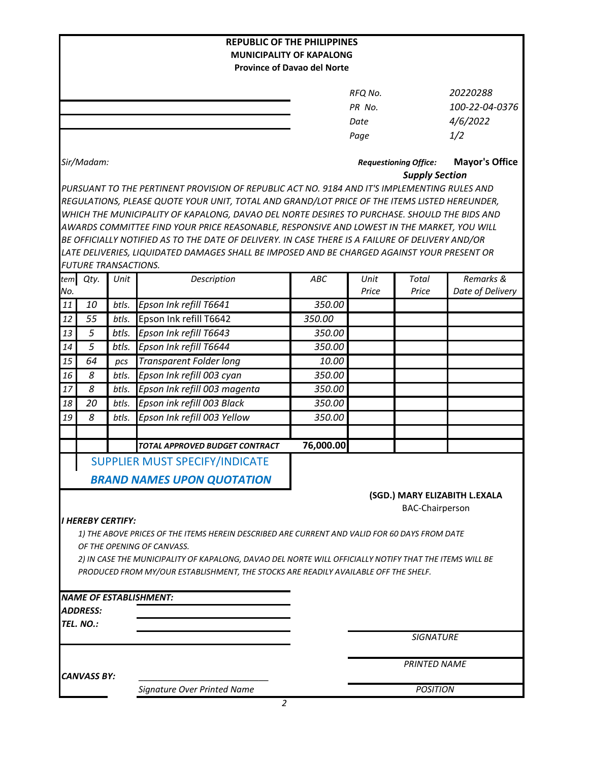| <b>REPUBLIC OF THE PHILIPPINES</b>                                                            |                                                                                              |       |                                                                                                                                                                                                |                                                       |                     |                        |                               |  |  |  |  |  |
|-----------------------------------------------------------------------------------------------|----------------------------------------------------------------------------------------------|-------|------------------------------------------------------------------------------------------------------------------------------------------------------------------------------------------------|-------------------------------------------------------|---------------------|------------------------|-------------------------------|--|--|--|--|--|
| <b>MUNICIPALITY OF KAPALONG</b>                                                               |                                                                                              |       |                                                                                                                                                                                                |                                                       |                     |                        |                               |  |  |  |  |  |
| <b>Province of Davao del Norte</b>                                                            |                                                                                              |       |                                                                                                                                                                                                |                                                       |                     |                        |                               |  |  |  |  |  |
|                                                                                               |                                                                                              |       |                                                                                                                                                                                                |                                                       | RFQ No.             |                        | 20220288                      |  |  |  |  |  |
|                                                                                               |                                                                                              |       |                                                                                                                                                                                                |                                                       | PR No.              |                        | 100-22-04-0376                |  |  |  |  |  |
|                                                                                               |                                                                                              |       |                                                                                                                                                                                                |                                                       | Date                |                        | 4/6/2022                      |  |  |  |  |  |
|                                                                                               |                                                                                              |       |                                                                                                                                                                                                |                                                       | Page                |                        | 1/2                           |  |  |  |  |  |
|                                                                                               |                                                                                              |       |                                                                                                                                                                                                |                                                       |                     |                        |                               |  |  |  |  |  |
|                                                                                               | Sir/Madam:                                                                                   |       |                                                                                                                                                                                                | <b>Requestioning Office:</b><br><b>Supply Section</b> |                     |                        | <b>Mayor's Office</b>         |  |  |  |  |  |
|                                                                                               | PURSUANT TO THE PERTINENT PROVISION OF REPUBLIC ACT NO. 9184 AND IT'S IMPLEMENTING RULES AND |       |                                                                                                                                                                                                |                                                       |                     |                        |                               |  |  |  |  |  |
| REGULATIONS, PLEASE QUOTE YOUR UNIT, TOTAL AND GRAND/LOT PRICE OF THE ITEMS LISTED HEREUNDER, |                                                                                              |       |                                                                                                                                                                                                |                                                       |                     |                        |                               |  |  |  |  |  |
|                                                                                               |                                                                                              |       | WHICH THE MUNICIPALITY OF KAPALONG, DAVAO DEL NORTE DESIRES TO PURCHASE. SHOULD THE BIDS AND                                                                                                   |                                                       |                     |                        |                               |  |  |  |  |  |
|                                                                                               |                                                                                              |       | AWARDS COMMITTEE FIND YOUR PRICE REASONABLE, RESPONSIVE AND LOWEST IN THE MARKET, YOU WILL<br>BE OFFICIALLY NOTIFIED AS TO THE DATE OF DELIVERY. IN CASE THERE IS A FAILURE OF DELIVERY AND/OR |                                                       |                     |                        |                               |  |  |  |  |  |
|                                                                                               |                                                                                              |       | LATE DELIVERIES, LIQUIDATED DAMAGES SHALL BE IMPOSED AND BE CHARGED AGAINST YOUR PRESENT OR                                                                                                    |                                                       |                     |                        |                               |  |  |  |  |  |
|                                                                                               | <b>FUTURE TRANSACTIONS.</b>                                                                  |       |                                                                                                                                                                                                |                                                       |                     |                        |                               |  |  |  |  |  |
|                                                                                               | tem Qty.                                                                                     | Unit  | Description                                                                                                                                                                                    | <b>ABC</b>                                            | Unit                | Total                  | Remarks &                     |  |  |  |  |  |
| No.                                                                                           |                                                                                              |       |                                                                                                                                                                                                |                                                       | Price               | Price                  | Date of Delivery              |  |  |  |  |  |
| 11                                                                                            | 10                                                                                           | btls. | Epson Ink refill T6641                                                                                                                                                                         | 350.00                                                |                     |                        |                               |  |  |  |  |  |
| 12                                                                                            | 55                                                                                           | btls. | Epson Ink refill T6642                                                                                                                                                                         | 350.00                                                |                     |                        |                               |  |  |  |  |  |
| 13                                                                                            | 5                                                                                            | btls. | Epson Ink refill T6643                                                                                                                                                                         | 350.00                                                |                     |                        |                               |  |  |  |  |  |
| 14                                                                                            | 5                                                                                            | btls. | Epson Ink refill T6644                                                                                                                                                                         | 350.00                                                |                     |                        |                               |  |  |  |  |  |
| 15                                                                                            | 64                                                                                           | pcs   | <b>Transparent Folder long</b>                                                                                                                                                                 | 10.00                                                 |                     |                        |                               |  |  |  |  |  |
| 16                                                                                            | 8                                                                                            | btls. | Epson Ink refill 003 cyan                                                                                                                                                                      | 350.00                                                |                     |                        |                               |  |  |  |  |  |
| 17                                                                                            | 8                                                                                            | btls. | Epson Ink refill 003 magenta                                                                                                                                                                   | 350.00                                                |                     |                        |                               |  |  |  |  |  |
| 18                                                                                            | 20                                                                                           | btls. | Epson ink refill 003 Black                                                                                                                                                                     | 350.00                                                |                     |                        |                               |  |  |  |  |  |
| 19                                                                                            | 8                                                                                            | btls. | Epson Ink refill 003 Yellow                                                                                                                                                                    | 350.00                                                |                     |                        |                               |  |  |  |  |  |
|                                                                                               |                                                                                              |       |                                                                                                                                                                                                |                                                       |                     |                        |                               |  |  |  |  |  |
|                                                                                               |                                                                                              |       | TOTAL APPROVED BUDGET CONTRACT                                                                                                                                                                 | 76,000.00                                             |                     |                        |                               |  |  |  |  |  |
|                                                                                               |                                                                                              |       | SUPPLIER MUST SPECIFY/INDICATE                                                                                                                                                                 |                                                       |                     |                        |                               |  |  |  |  |  |
|                                                                                               |                                                                                              |       | <b>BRAND NAMES UPON QUOTATION</b>                                                                                                                                                              |                                                       |                     |                        |                               |  |  |  |  |  |
|                                                                                               |                                                                                              |       |                                                                                                                                                                                                |                                                       |                     |                        | (SGD.) MARY ELIZABITH L.EXALA |  |  |  |  |  |
|                                                                                               |                                                                                              |       |                                                                                                                                                                                                |                                                       |                     | <b>BAC-Chairperson</b> |                               |  |  |  |  |  |
|                                                                                               | <b>I HEREBY CERTIFY:</b>                                                                     |       |                                                                                                                                                                                                |                                                       |                     |                        |                               |  |  |  |  |  |
|                                                                                               |                                                                                              |       | 1) THE ABOVE PRICES OF THE ITEMS HEREIN DESCRIBED ARE CURRENT AND VALID FOR 60 DAYS FROM DATE                                                                                                  |                                                       |                     |                        |                               |  |  |  |  |  |
|                                                                                               |                                                                                              |       | OF THE OPENING OF CANVASS.                                                                                                                                                                     |                                                       |                     |                        |                               |  |  |  |  |  |
|                                                                                               |                                                                                              |       | 2) IN CASE THE MUNICIPALITY OF KAPALONG, DAVAO DEL NORTE WILL OFFICIALLY NOTIFY THAT THE ITEMS WILL BE                                                                                         |                                                       |                     |                        |                               |  |  |  |  |  |
|                                                                                               |                                                                                              |       | PRODUCED FROM MY/OUR ESTABLISHMENT, THE STOCKS ARE READILY AVAILABLE OFF THE SHELF.                                                                                                            |                                                       |                     |                        |                               |  |  |  |  |  |
|                                                                                               |                                                                                              |       |                                                                                                                                                                                                |                                                       |                     |                        |                               |  |  |  |  |  |
|                                                                                               |                                                                                              |       | <b>NAME OF ESTABLISHMENT:</b>                                                                                                                                                                  |                                                       |                     |                        |                               |  |  |  |  |  |
|                                                                                               | <b>ADDRESS:</b><br>TEL. NO.:                                                                 |       |                                                                                                                                                                                                |                                                       |                     |                        |                               |  |  |  |  |  |
|                                                                                               |                                                                                              |       |                                                                                                                                                                                                |                                                       |                     | <b>SIGNATURE</b>       |                               |  |  |  |  |  |
|                                                                                               |                                                                                              |       |                                                                                                                                                                                                |                                                       |                     |                        |                               |  |  |  |  |  |
|                                                                                               |                                                                                              |       |                                                                                                                                                                                                |                                                       | <b>PRINTED NAME</b> |                        |                               |  |  |  |  |  |
| <b>CANVASS BY:</b>                                                                            |                                                                                              |       |                                                                                                                                                                                                |                                                       |                     |                        |                               |  |  |  |  |  |
|                                                                                               |                                                                                              |       | <b>Signature Over Printed Name</b>                                                                                                                                                             | <b>POSITION</b>                                       |                     |                        |                               |  |  |  |  |  |
|                                                                                               |                                                                                              |       | 2                                                                                                                                                                                              |                                                       |                     |                        |                               |  |  |  |  |  |